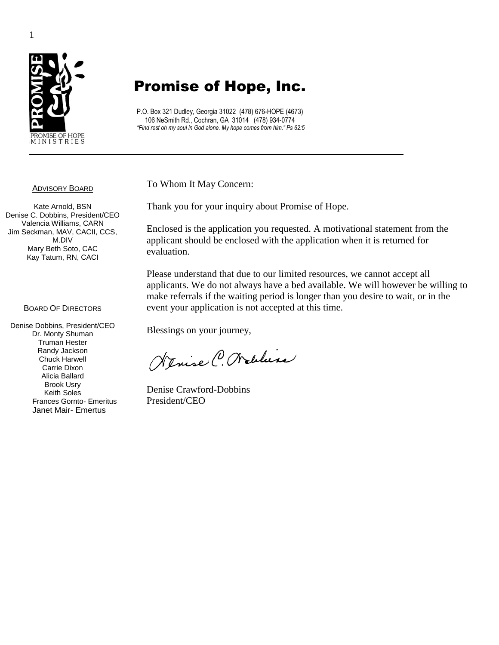

# Promise of Hope, Inc.

P.O. Box 321 Dudley, Georgia 31022 (478) 676-HOPE (4673) 106 NeSmith Rd., Cochran, GA 31014 (478) 934-0774 *"Find rest oh my soul in God alone. My hope comes from him." Ps 62:5*

To Whom It May Concern:

Thank you for your inquiry about Promise of Hope.

Enclosed is the application you requested. A motivational statement from the applicant should be enclosed with the application when it is returned for evaluation.

Please understand that due to our limited resources, we cannot accept all applicants. We do not always have a bed available. We will however be willing to make referrals if the waiting period is longer than you desire to wait, or in the event your application is not accepted at this time.

Blessings on your journey,

Nenise C. Walline

Denise Crawford-Dobbins President/CEO

1

#### ADVISORY BOARD

Kate Arnold, BSN Denise C. Dobbins, President/CEO Valencia Williams, CARN Jim Seckman, MAV, CACII, CCS, M.DIV Mary Beth Soto, CAC Kay Tatum, RN, CACI

#### **BOARD OF DIRECTORS**

Denise Dobbins, President/CEO Dr. Monty Shuman Truman Hester Randy Jackson Chuck Harwell Carrie Dixon Alicia Ballard Brook Usry Keith Soles Frances Gornto- Emeritus Janet Mair- Emertus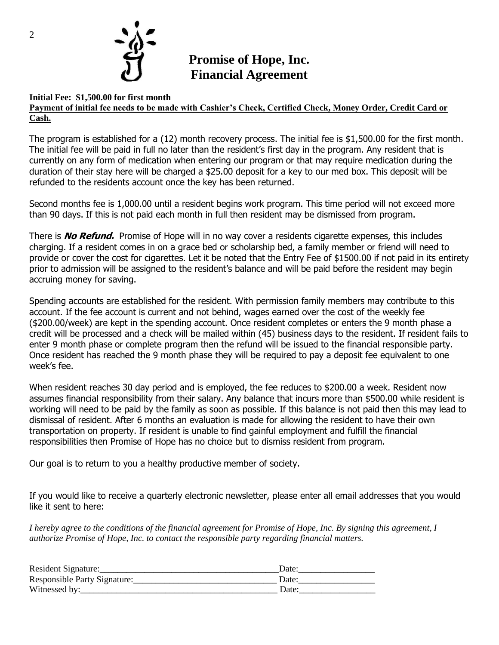

# **Promise of Hope, Inc. Financial Agreement**

#### **Initial Fee: \$1,500.00 for first month Payment of initial fee needs to be made with Cashier's Check, Certified Check, Money Order, Credit Card or Cash.**

The program is established for a (12) month recovery process. The initial fee is \$1,500.00 for the first month. The initial fee will be paid in full no later than the resident's first day in the program. Any resident that is currently on any form of medication when entering our program or that may require medication during the duration of their stay here will be charged a \$25.00 deposit for a key to our med box. This deposit will be refunded to the residents account once the key has been returned.

Second months fee is 1,000.00 until a resident begins work program. This time period will not exceed more than 90 days. If this is not paid each month in full then resident may be dismissed from program.

There is **No Refund.** Promise of Hope will in no way cover a residents cigarette expenses, this includes charging. If a resident comes in on a grace bed or scholarship bed, a family member or friend will need to provide or cover the cost for cigarettes. Let it be noted that the Entry Fee of \$1500.00 if not paid in its entirety prior to admission will be assigned to the resident's balance and will be paid before the resident may begin accruing money for saving.

Spending accounts are established for the resident. With permission family members may contribute to this account. If the fee account is current and not behind, wages earned over the cost of the weekly fee (\$200.00/week) are kept in the spending account. Once resident completes or enters the 9 month phase a credit will be processed and a check will be mailed within (45) business days to the resident. If resident fails to enter 9 month phase or complete program then the refund will be issued to the financial responsible party. Once resident has reached the 9 month phase they will be required to pay a deposit fee equivalent to one week's fee.

When resident reaches 30 day period and is employed, the fee reduces to \$200.00 a week. Resident now assumes financial responsibility from their salary. Any balance that incurs more than \$500.00 while resident is working will need to be paid by the family as soon as possible. If this balance is not paid then this may lead to dismissal of resident. After 6 months an evaluation is made for allowing the resident to have their own transportation on property. If resident is unable to find gainful employment and fulfill the financial responsibilities then Promise of Hope has no choice but to dismiss resident from program.

Our goal is to return to you a healthy productive member of society.

If you would like to receive a quarterly electronic newsletter, please enter all email addresses that you would like it sent to here:

*I hereby agree to the conditions of the financial agreement for Promise of Hope, Inc. By signing this agreement, I authorize Promise of Hope, Inc. to contact the responsible party regarding financial matters.*

| Resident Signature:          | Date: |
|------------------------------|-------|
| Responsible Party Signature: | Date: |
| Witnessed by:                | Date: |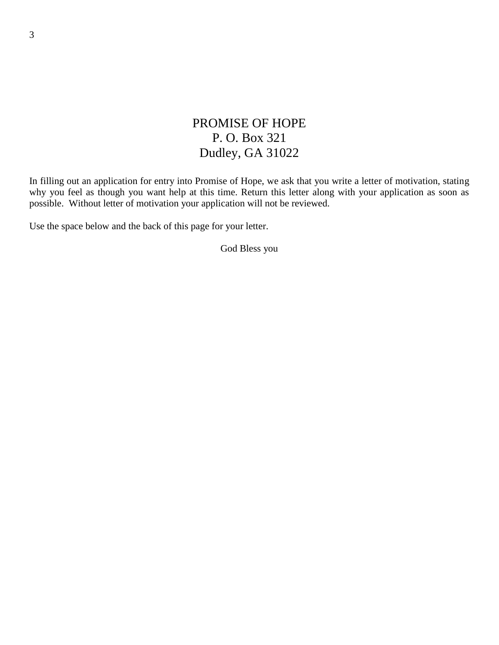## PROMISE OF HOPE P. O. Box 321 Dudley, GA 31022

In filling out an application for entry into Promise of Hope, we ask that you write a letter of motivation, stating why you feel as though you want help at this time. Return this letter along with your application as soon as possible. Without letter of motivation your application will not be reviewed.

Use the space below and the back of this page for your letter.

God Bless you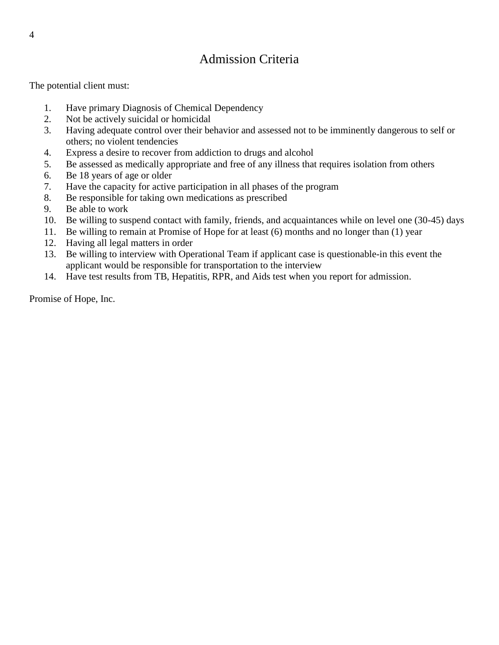# Admission Criteria

The potential client must:

- 1. Have primary Diagnosis of Chemical Dependency
- 2. Not be actively suicidal or homicidal
- 3. Having adequate control over their behavior and assessed not to be imminently dangerous to self or others; no violent tendencies
- 4. Express a desire to recover from addiction to drugs and alcohol
- 5. Be assessed as medically appropriate and free of any illness that requires isolation from others
- 6. Be 18 years of age or older
- 7. Have the capacity for active participation in all phases of the program
- 8. Be responsible for taking own medications as prescribed
- 9. Be able to work
- 10. Be willing to suspend contact with family, friends, and acquaintances while on level one (30-45) days
- 11. Be willing to remain at Promise of Hope for at least (6) months and no longer than (1) year
- 12. Having all legal matters in order
- 13. Be willing to interview with Operational Team if applicant case is questionable-in this event the applicant would be responsible for transportation to the interview
- 14. Have test results from TB, Hepatitis, RPR, and Aids test when you report for admission.

Promise of Hope, Inc.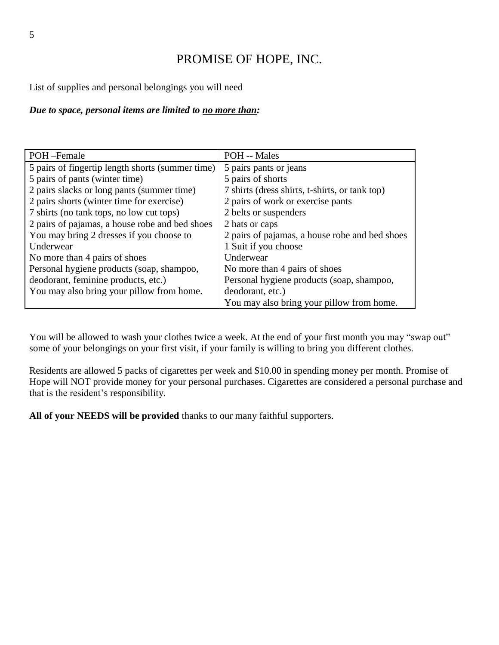# PROMISE OF HOPE, INC.

List of supplies and personal belongings you will need

### *Due to space, personal items are limited to no more than:*

| POH-Female                                       | POH -- Males                                   |
|--------------------------------------------------|------------------------------------------------|
| 5 pairs of fingertip length shorts (summer time) | 5 pairs pants or jeans                         |
| 5 pairs of pants (winter time)                   | 5 pairs of shorts                              |
| 2 pairs slacks or long pants (summer time)       | 7 shirts (dress shirts, t-shirts, or tank top) |
| 2 pairs shorts (winter time for exercise)        | 2 pairs of work or exercise pants              |
| 7 shirts (no tank tops, no low cut tops)         | 2 belts or suspenders                          |
| 2 pairs of pajamas, a house robe and bed shoes   | 2 hats or caps                                 |
| You may bring 2 dresses if you choose to         | 2 pairs of pajamas, a house robe and bed shoes |
| Underwear                                        | 1 Suit if you choose                           |
| No more than 4 pairs of shoes                    | Underwear                                      |
| Personal hygiene products (soap, shampoo,        | No more than 4 pairs of shoes                  |
| deodorant, feminine products, etc.)              | Personal hygiene products (soap, shampoo,      |
| You may also bring your pillow from home.        | deodorant, etc.)                               |
|                                                  | You may also bring your pillow from home.      |

You will be allowed to wash your clothes twice a week. At the end of your first month you may "swap out" some of your belongings on your first visit, if your family is willing to bring you different clothes.

Residents are allowed 5 packs of cigarettes per week and \$10.00 in spending money per month. Promise of Hope will NOT provide money for your personal purchases. Cigarettes are considered a personal purchase and that is the resident's responsibility.

**All of your NEEDS will be provided** thanks to our many faithful supporters.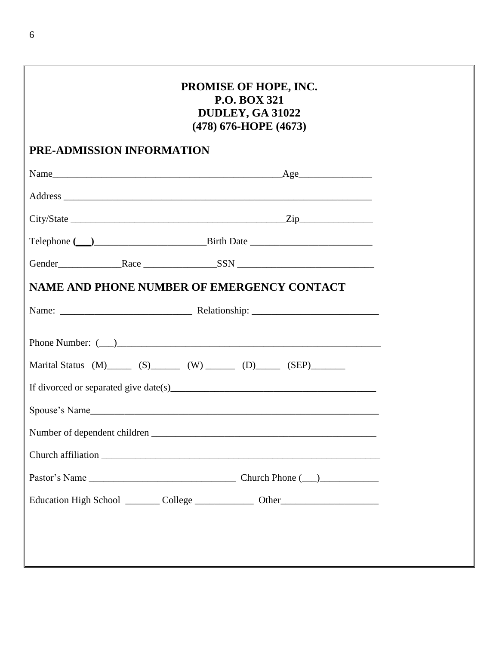| PROMISE OF HOPE, INC.<br><b>P.O. BOX 321</b><br>DUDLEY, GA 31022<br>(478) 676-HOPE (4673) |                                                                                   |  |
|-------------------------------------------------------------------------------------------|-----------------------------------------------------------------------------------|--|
| PRE-ADMISSION INFORMATION                                                                 |                                                                                   |  |
|                                                                                           |                                                                                   |  |
|                                                                                           |                                                                                   |  |
|                                                                                           |                                                                                   |  |
|                                                                                           |                                                                                   |  |
|                                                                                           | Gender Race SSN SSN                                                               |  |
|                                                                                           | <b>NAME AND PHONE NUMBER OF EMERGENCY CONTACT</b>                                 |  |
|                                                                                           |                                                                                   |  |
|                                                                                           | Marital Status $(M)$ (S) $(M)$ (W) (D) (SEP)                                      |  |
|                                                                                           |                                                                                   |  |
|                                                                                           | Spouse's Name                                                                     |  |
|                                                                                           |                                                                                   |  |
|                                                                                           |                                                                                   |  |
|                                                                                           |                                                                                   |  |
|                                                                                           | Education High School _________ College _______________ Other____________________ |  |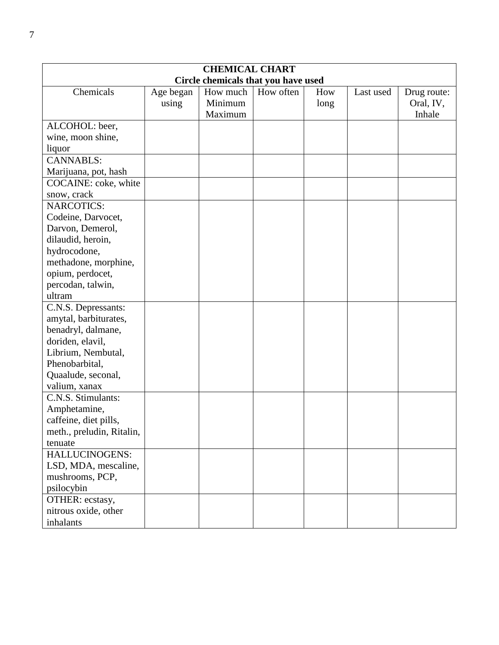|                           |           | <b>CHEMICAL CHART</b>               |           |      |           |             |
|---------------------------|-----------|-------------------------------------|-----------|------|-----------|-------------|
|                           |           | Circle chemicals that you have used |           |      |           |             |
| Chemicals                 | Age began | How much                            | How often | How  | Last used | Drug route: |
|                           | using     | Minimum                             |           | long |           | Oral, IV,   |
|                           |           | Maximum                             |           |      |           | Inhale      |
| ALCOHOL: beer,            |           |                                     |           |      |           |             |
| wine, moon shine,         |           |                                     |           |      |           |             |
| liquor                    |           |                                     |           |      |           |             |
| <b>CANNABLS:</b>          |           |                                     |           |      |           |             |
| Marijuana, pot, hash      |           |                                     |           |      |           |             |
| COCAINE: coke, white      |           |                                     |           |      |           |             |
| snow, crack               |           |                                     |           |      |           |             |
| <b>NARCOTICS:</b>         |           |                                     |           |      |           |             |
| Codeine, Darvocet,        |           |                                     |           |      |           |             |
| Darvon, Demerol,          |           |                                     |           |      |           |             |
| dilaudid, heroin,         |           |                                     |           |      |           |             |
| hydrocodone,              |           |                                     |           |      |           |             |
| methadone, morphine,      |           |                                     |           |      |           |             |
| opium, perdocet,          |           |                                     |           |      |           |             |
| percodan, talwin,         |           |                                     |           |      |           |             |
| ultram                    |           |                                     |           |      |           |             |
| C.N.S. Depressants:       |           |                                     |           |      |           |             |
| amytal, barbiturates,     |           |                                     |           |      |           |             |
| benadryl, dalmane,        |           |                                     |           |      |           |             |
| doriden, elavil,          |           |                                     |           |      |           |             |
| Librium, Nembutal,        |           |                                     |           |      |           |             |
| Phenobarbital,            |           |                                     |           |      |           |             |
| Quaalude, seconal,        |           |                                     |           |      |           |             |
| valium, xanax             |           |                                     |           |      |           |             |
| C.N.S. Stimulants:        |           |                                     |           |      |           |             |
| Amphetamine,              |           |                                     |           |      |           |             |
| caffeine, diet pills,     |           |                                     |           |      |           |             |
| meth., preludin, Ritalin, |           |                                     |           |      |           |             |
| tenuate                   |           |                                     |           |      |           |             |
| HALLUCINOGENS:            |           |                                     |           |      |           |             |
| LSD, MDA, mescaline,      |           |                                     |           |      |           |             |
| mushrooms, PCP,           |           |                                     |           |      |           |             |
| psilocybin                |           |                                     |           |      |           |             |
| OTHER: ecstasy,           |           |                                     |           |      |           |             |
| nitrous oxide, other      |           |                                     |           |      |           |             |
| inhalants                 |           |                                     |           |      |           |             |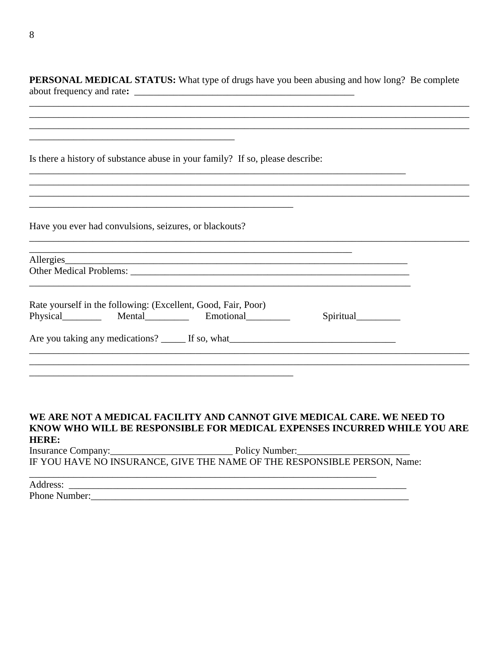PERSONAL MEDICAL STATUS: What type of drugs have you been abusing and how long? Be complete about frequency and rate:

| Is there a history of substance abuse in your family? If so, please describe: |
|-------------------------------------------------------------------------------|
|-------------------------------------------------------------------------------|

|  | Have you ever had convulsions, seizures, or blackouts? |  |  |
|--|--------------------------------------------------------|--|--|
|  |                                                        |  |  |

| Allergies                                                                                  |           |
|--------------------------------------------------------------------------------------------|-----------|
| Rate yourself in the following: (Excellent, Good, Fair, Poor)<br>Physical Mental Emotional | Spiritual |
|                                                                                            |           |

### WE ARE NOT A MEDICAL FACILITY AND CANNOT GIVE MEDICAL CARE. WE NEED TO KNOW WHO WILL BE RESPONSIBLE FOR MEDICAL EXPENSES INCURRED WHILE YOU ARE **HERE:**

IF YOU HAVE NO INSURANCE, GIVE THE NAME OF THE RESPONSIBLE PERSON, Name:

Address: Phone Number: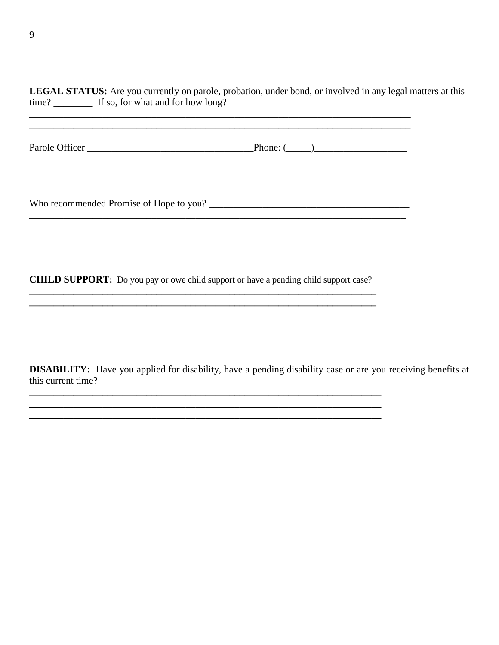**LEGAL STATUS:** Are you currently on parole, probation, under bond, or involved in any legal matters at this time? \_\_\_\_\_\_\_\_\_\_\_\_ If so, for what and for how long?

Parole Officer \_\_\_\_\_\_\_\_\_\_\_\_\_\_\_\_\_\_\_\_\_\_\_\_\_\_\_\_\_\_\_\_\_\_Phone: (\_\_\_\_\_)\_\_\_\_\_\_\_\_\_\_\_\_\_\_\_\_\_\_\_

\_\_\_\_\_\_\_\_\_\_\_\_\_\_\_\_\_\_\_\_\_\_\_\_\_\_\_\_\_\_\_\_\_\_\_\_\_\_\_\_\_\_\_\_\_\_\_\_\_\_\_\_\_\_\_\_\_\_\_\_\_\_\_\_\_\_\_\_\_\_\_\_\_\_\_\_\_\_

Who recommended Promise of Hope to you? \_\_\_\_\_\_\_\_\_\_\_\_\_\_\_\_\_\_\_\_\_\_\_\_\_\_\_\_\_\_\_\_\_\_\_\_\_\_\_\_\_ \_\_\_\_\_\_\_\_\_\_\_\_\_\_\_\_\_\_\_\_\_\_\_\_\_\_\_\_\_\_\_\_\_\_\_\_\_\_\_\_\_\_\_\_\_\_\_\_\_\_\_\_\_\_\_\_\_\_\_\_\_\_\_\_\_\_\_\_\_\_\_\_\_\_\_\_\_

**CHILD SUPPORT:** Do you pay or owe child support or have a pending child support case?

**\_\_\_\_\_\_\_\_\_\_\_\_\_\_\_\_\_\_\_\_\_\_\_\_\_\_\_\_\_\_\_\_\_\_\_\_\_\_\_\_\_\_\_\_\_\_\_\_\_\_\_\_\_\_\_\_\_\_\_\_\_\_\_\_\_\_\_\_\_\_\_**

**\_\_\_\_\_\_\_\_\_\_\_\_\_\_\_\_\_\_\_\_\_\_\_\_\_\_\_\_\_\_\_\_\_\_\_\_\_\_\_\_\_\_\_\_\_\_\_\_\_\_\_\_\_\_\_\_\_\_\_\_\_\_\_\_\_\_\_\_\_\_\_\_ \_\_\_\_\_\_\_\_\_\_\_\_\_\_\_\_\_\_\_\_\_\_\_\_\_\_\_\_\_\_\_\_\_\_\_\_\_\_\_\_\_\_\_\_\_\_\_\_\_\_\_\_\_\_\_\_\_\_\_\_\_\_\_\_\_\_\_\_\_\_\_\_**

**DISABILITY:** Have you applied for disability, have a pending disability case or are you receiving benefits at this current time?

**\_\_\_\_\_\_\_\_\_\_\_\_\_\_\_\_\_\_\_\_\_\_\_\_\_\_\_\_\_\_\_\_\_\_\_\_\_\_\_\_\_\_\_\_\_\_\_\_\_\_\_\_\_\_\_\_\_\_\_\_\_\_\_\_\_\_\_\_\_\_\_**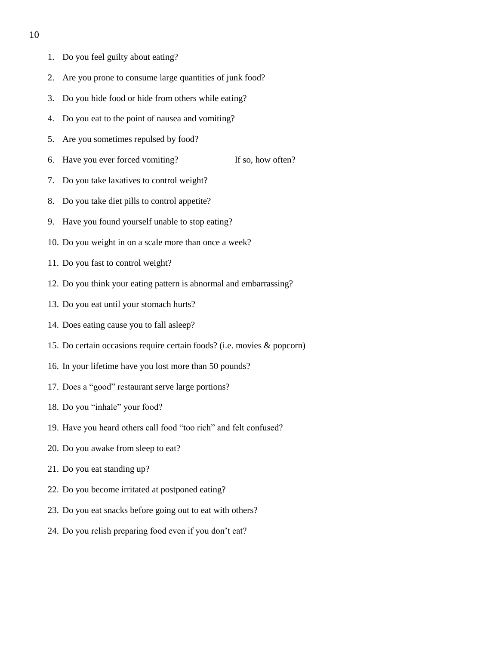- 1. Do you feel guilty about eating?
- 2. Are you prone to consume large quantities of junk food?
- 3. Do you hide food or hide from others while eating?
- 4. Do you eat to the point of nausea and vomiting?
- 5. Are you sometimes repulsed by food?
- 6. Have you ever forced vomiting? If so, how often?
- 7. Do you take laxatives to control weight?
- 8. Do you take diet pills to control appetite?
- 9. Have you found yourself unable to stop eating?
- 10. Do you weight in on a scale more than once a week?
- 11. Do you fast to control weight?
- 12. Do you think your eating pattern is abnormal and embarrassing?
- 13. Do you eat until your stomach hurts?
- 14. Does eating cause you to fall asleep?
- 15. Do certain occasions require certain foods? (i.e. movies & popcorn)
- 16. In your lifetime have you lost more than 50 pounds?
- 17. Does a "good" restaurant serve large portions?
- 18. Do you "inhale" your food?
- 19. Have you heard others call food "too rich" and felt confused?
- 20. Do you awake from sleep to eat?
- 21. Do you eat standing up?
- 22. Do you become irritated at postponed eating?
- 23. Do you eat snacks before going out to eat with others?
- 24. Do you relish preparing food even if you don't eat?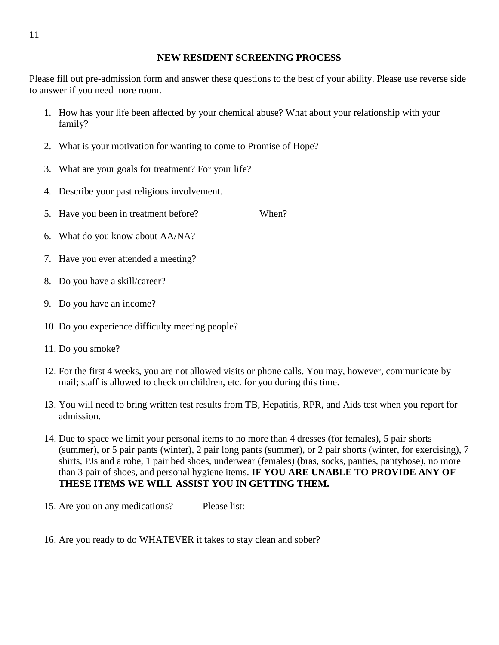### **NEW RESIDENT SCREENING PROCESS**

Please fill out pre-admission form and answer these questions to the best of your ability. Please use reverse side to answer if you need more room.

- 1. How has your life been affected by your chemical abuse? What about your relationship with your family?
- 2. What is your motivation for wanting to come to Promise of Hope?
- 3. What are your goals for treatment? For your life?
- 4. Describe your past religious involvement.
- 5. Have you been in treatment before? When?
- 6. What do you know about AA/NA?
- 7. Have you ever attended a meeting?
- 8. Do you have a skill/career?
- 9. Do you have an income?
- 10. Do you experience difficulty meeting people?
- 11. Do you smoke?
- 12. For the first 4 weeks, you are not allowed visits or phone calls. You may, however, communicate by mail; staff is allowed to check on children, etc. for you during this time.
- 13. You will need to bring written test results from TB, Hepatitis, RPR, and Aids test when you report for admission.
- 14. Due to space we limit your personal items to no more than 4 dresses (for females), 5 pair shorts (summer), or 5 pair pants (winter), 2 pair long pants (summer), or 2 pair shorts (winter, for exercising), 7 shirts, PJs and a robe, 1 pair bed shoes, underwear (females) (bras, socks, panties, pantyhose), no more than 3 pair of shoes, and personal hygiene items. **IF YOU ARE UNABLE TO PROVIDE ANY OF THESE ITEMS WE WILL ASSIST YOU IN GETTING THEM.**
- 15. Are you on any medications? Please list:
- 16. Are you ready to do WHATEVER it takes to stay clean and sober?